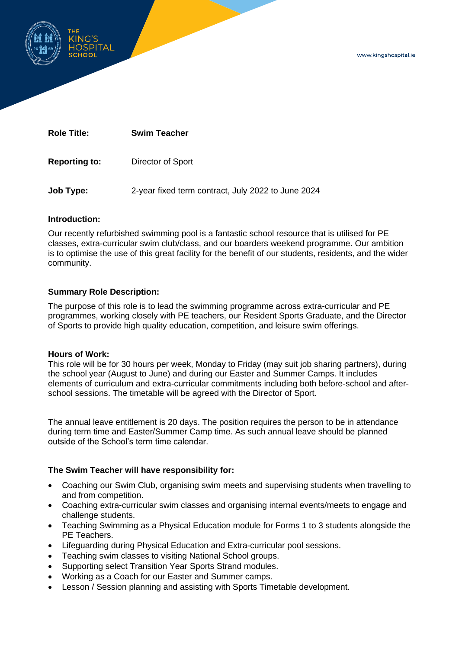www.kingshospital.ie



**Role Title: Swim Teacher**

**Reporting to:** Director of Sport

**Job Type:** 2-year fixed term contract, July 2022 to June 2024

### **Introduction:**

Our recently refurbished swimming pool is a fantastic school resource that is utilised for PE classes, extra-curricular swim club/class, and our boarders weekend programme. Our ambition is to optimise the use of this great facility for the benefit of our students, residents, and the wider community.

# **Summary Role Description:**

The purpose of this role is to lead the swimming programme across extra-curricular and PE programmes, working closely with PE teachers, our Resident Sports Graduate, and the Director of Sports to provide high quality education, competition, and leisure swim offerings.

### **Hours of Work:**

This role will be for 30 hours per week, Monday to Friday (may suit job sharing partners), during the school year (August to June) and during our Easter and Summer Camps. It includes elements of curriculum and extra-curricular commitments including both before-school and afterschool sessions. The timetable will be agreed with the Director of Sport.

The annual leave entitlement is 20 days. The position requires the person to be in attendance during term time and Easter/Summer Camp time. As such annual leave should be planned outside of the School's term time calendar.

# **The Swim Teacher will have responsibility for:**

- Coaching our Swim Club, organising swim meets and supervising students when travelling to and from competition.
- Coaching extra-curricular swim classes and organising internal events/meets to engage and challenge students.
- Teaching Swimming as a Physical Education module for Forms 1 to 3 students alongside the PE Teachers.
- Lifeguarding during Physical Education and Extra-curricular pool sessions.
- Teaching swim classes to visiting National School groups.
- Supporting select Transition Year Sports Strand modules.
- Working as a Coach for our Easter and Summer camps.
- Lesson / Session planning and assisting with Sports Timetable development.